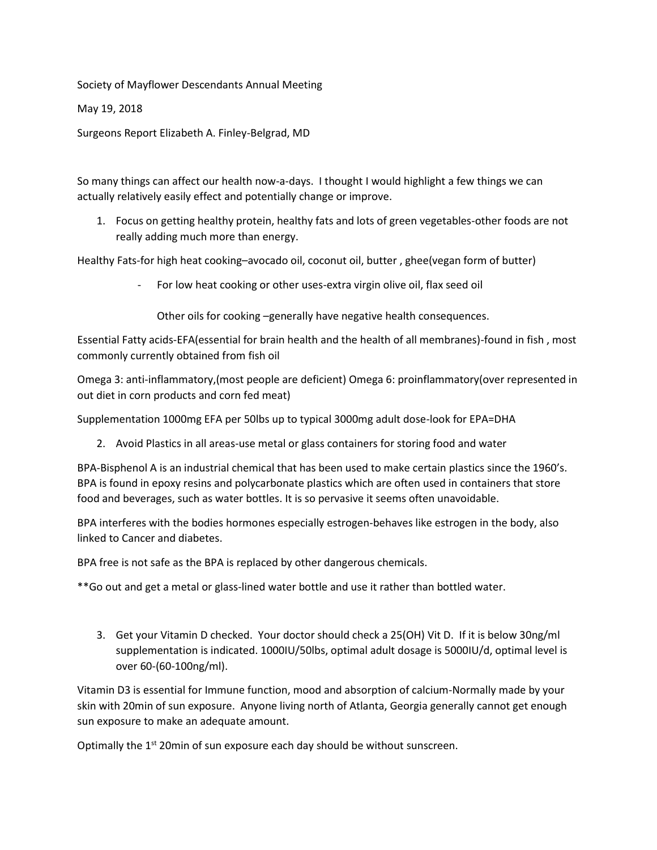Society of Mayflower Descendants Annual Meeting

May 19, 2018

Surgeons Report Elizabeth A. Finley-Belgrad, MD

So many things can affect our health now-a-days. I thought I would highlight a few things we can actually relatively easily effect and potentially change or improve.

1. Focus on getting healthy protein, healthy fats and lots of green vegetables-other foods are not really adding much more than energy.

Healthy Fats-for high heat cooking–avocado oil, coconut oil, butter , ghee(vegan form of butter)

For low heat cooking or other uses-extra virgin olive oil, flax seed oil

Other oils for cooking –generally have negative health consequences.

Essential Fatty acids-EFA(essential for brain health and the health of all membranes)-found in fish , most commonly currently obtained from fish oil

Omega 3: anti-inflammatory,(most people are deficient) Omega 6: proinflammatory(over represented in out diet in corn products and corn fed meat)

Supplementation 1000mg EFA per 50lbs up to typical 3000mg adult dose-look for EPA=DHA

2. Avoid Plastics in all areas-use metal or glass containers for storing food and water

BPA-Bisphenol A is an industrial chemical that has been used to make certain plastics since the 1960's. BPA is found in epoxy resins and polycarbonate plastics which are often used in containers that store food and beverages, such as water bottles. It is so pervasive it seems often unavoidable.

BPA interferes with the bodies hormones especially estrogen-behaves like estrogen in the body, also linked to Cancer and diabetes.

BPA free is not safe as the BPA is replaced by other dangerous chemicals.

\*\*Go out and get a metal or glass-lined water bottle and use it rather than bottled water.

3. Get your Vitamin D checked. Your doctor should check a 25(OH) Vit D. If it is below 30ng/ml supplementation is indicated. 1000IU/50lbs, optimal adult dosage is 5000IU/d, optimal level is over 60-(60-100ng/ml).

Vitamin D3 is essential for Immune function, mood and absorption of calcium-Normally made by your skin with 20min of sun exposure. Anyone living north of Atlanta, Georgia generally cannot get enough sun exposure to make an adequate amount.

Optimally the  $1<sup>st</sup>$  20min of sun exposure each day should be without sunscreen.